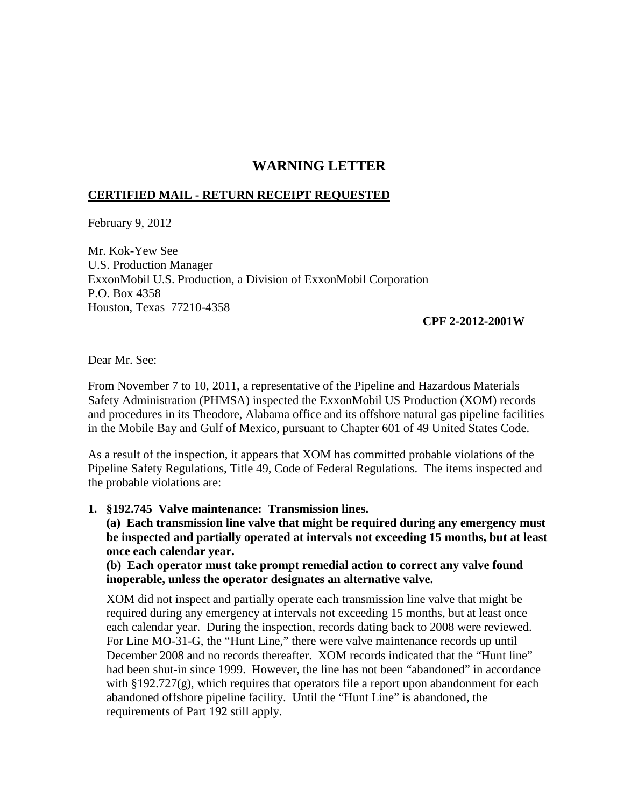## **WARNING LETTER**

## **CERTIFIED MAIL - RETURN RECEIPT REQUESTED**

February 9, 2012

Mr. Kok-Yew See U.S. Production Manager ExxonMobil U.S. Production, a Division of ExxonMobil Corporation P.O. Box 4358 Houston, Texas 77210-4358

## **CPF 2-2012-2001W**

Dear Mr. See:

From November 7 to 10, 2011, a representative of the Pipeline and Hazardous Materials Safety Administration (PHMSA) inspected the ExxonMobil US Production (XOM) records and procedures in its Theodore, Alabama office and its offshore natural gas pipeline facilities in the Mobile Bay and Gulf of Mexico, pursuant to Chapter 601 of 49 United States Code.

As a result of the inspection, it appears that XOM has committed probable violations of the Pipeline Safety Regulations, Title 49, Code of Federal Regulations. The items inspected and the probable violations are:

## **1. §192.745 Valve maintenance: Transmission lines.**

**(a) Each transmission line valve that might be required during any emergency must be inspected and partially operated at intervals not exceeding 15 months, but at least once each calendar year.**

**(b) Each operator must take prompt remedial action to correct any valve found inoperable, unless the operator designates an alternative valve.**

XOM did not inspect and partially operate each transmission line valve that might be required during any emergency at intervals not exceeding 15 months, but at least once each calendar year. During the inspection, records dating back to 2008 were reviewed. For Line MO-31-G, the "Hunt Line," there were valve maintenance records up until December 2008 and no records thereafter. XOM records indicated that the "Hunt line" had been shut-in since 1999. However, the line has not been "abandoned" in accordance with  $\S 192.727(g)$ , which requires that operators file a report upon abandonment for each abandoned offshore pipeline facility. Until the "Hunt Line" is abandoned, the requirements of Part 192 still apply.